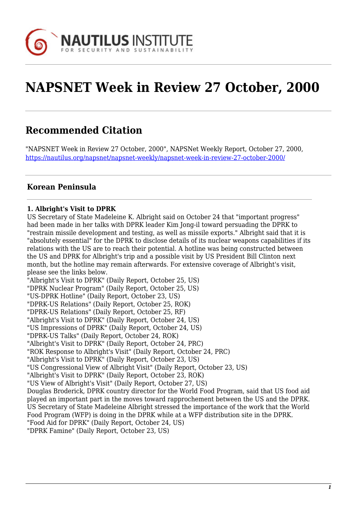

# **NAPSNET Week in Review 27 October, 2000**

# **Recommended Citation**

"NAPSNET Week in Review 27 October, 2000", NAPSNet Weekly Report, October 27, 2000, <https://nautilus.org/napsnet/napsnet-weekly/napsnet-week-in-review-27-october-2000/>

# **Korean Peninsula**

# **1. Albright's Visit to DPRK**

US Secretary of State Madeleine K. Albright said on October 24 that "important progress" had been made in her talks with DPRK leader Kim Jong-il toward persuading the DPRK to "restrain missile development and testing, as well as missile exports." Albright said that it is "absolutely essential" for the DPRK to disclose details of its nuclear weapons capabilities if its relations with the US are to reach their potential. A hotline was being constructed between the US and DPRK for Albright's trip and a possible visit by US President Bill Clinton next month, but the hotline may remain afterwards. For extensive coverage of Albright's visit, please see the links below.

"Albright's Visit to DPRK" (Daily Report, October 25, US)

"DPRK Nuclear Program" (Daily Report, October 25, US)

"US-DPRK Hotline" (Daily Report, October 23, US)

"DPRK-US Relations" (Daily Report, October 25, ROK)

"DPRK-US Relations" (Daily Report, October 25, RF)

"Albright's Visit to DPRK" (Daily Report, October 24, US)

"US Impressions of DPRK" (Daily Report, October 24, US)

"DPRK-US Talks" (Daily Report, October 24, ROK)

"Albright's Visit to DPRK" (Daily Report, October 24, PRC)

"ROK Response to Albright's Visit" (Daily Report, October 24, PRC)

"Albright's Visit to DPRK" (Daily Report, October 23, US)

"US Congressional View of Albright Visit" (Daily Report, October 23, US)

"Albright's Visit to DPRK" (Daily Report, October 23, ROK)

"US View of Albright's Visit" (Daily Report, October 27, US)

Douglas Broderick, DPRK country director for the World Food Program, said that US food aid played an important part in the moves toward rapprochement between the US and the DPRK. US Secretary of State Madeleine Albright stressed the importance of the work that the World Food Program (WFP) is doing in the DPRK while at a WFP distribution site in the DPRK. "Food Aid for DPRK" (Daily Report, October 24, US)

"DPRK Famine" (Daily Report, October 23, US)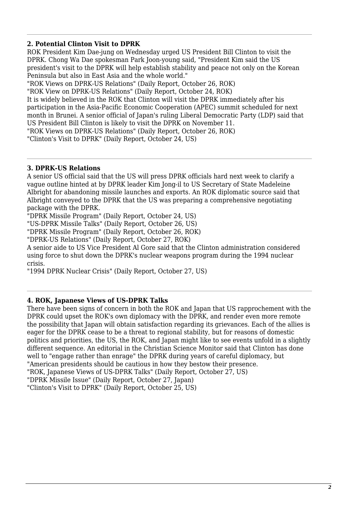# **2. Potential Clinton Visit to DPRK**

ROK President Kim Dae-jung on Wednesday urged US President Bill Clinton to visit the DPRK. Chong Wa Dae spokesman Park Joon-young said, "President Kim said the US president's visit to the DPRK will help establish stability and peace not only on the Korean Peninsula but also in East Asia and the whole world."

"ROK Views on DPRK-US Relations" (Daily Report, October 26, ROK) "ROK View on DPRK-US Relations" (Daily Report, October 24, ROK) It is widely believed in the ROK that Clinton will visit the DPRK immediately after his participation in the Asia-Pacific Economic Cooperation (APEC) summit scheduled for next month in Brunei. A senior official of Japan's ruling Liberal Democratic Party (LDP) said that US President Bill Clinton is likely to visit the DPRK on November 11.

"ROK Views on DPRK-US Relations" (Daily Report, October 26, ROK)

"Clinton's Visit to DPRK" (Daily Report, October 24, US)

# **3. DPRK-US Relations**

A senior US official said that the US will press DPRK officials hard next week to clarify a vague outline hinted at by DPRK leader Kim Jong-il to US Secretary of State Madeleine Albright for abandoning missile launches and exports. An ROK diplomatic source said that Albright conveyed to the DPRK that the US was preparing a comprehensive negotiating package with the DPRK.

"DPRK Missile Program" (Daily Report, October 24, US)

"US-DPRK Missile Talks" (Daily Report, October 26, US)

"DPRK Missile Program" (Daily Report, October 26, ROK)

"DPRK-US Relations" (Daily Report, October 27, ROK)

A senior aide to US Vice President Al Gore said that the Clinton administration considered using force to shut down the DPRK's nuclear weapons program during the 1994 nuclear crisis.

"1994 DPRK Nuclear Crisis" (Daily Report, October 27, US)

# **4. ROK, Japanese Views of US-DPRK Talks**

There have been signs of concern in both the ROK and Japan that US rapprochement with the DPRK could upset the ROK's own diplomacy with the DPRK, and render even more remote the possibility that Japan will obtain satisfaction regarding its grievances. Each of the allies is eager for the DPRK cease to be a threat to regional stability, but for reasons of domestic politics and priorities, the US, the ROK, and Japan might like to see events unfold in a slightly different sequence. An editorial in the Christian Science Monitor said that Clinton has done well to "engage rather than enrage" the DPRK during years of careful diplomacy, but "American presidents should be cautious in how they bestow their presence. "ROK, Japanese Views of US-DPRK Talks" (Daily Report, October 27, US)

"DPRK Missile Issue" (Daily Report, October 27, Japan)

"Clinton's Visit to DPRK" (Daily Report, October 25, US)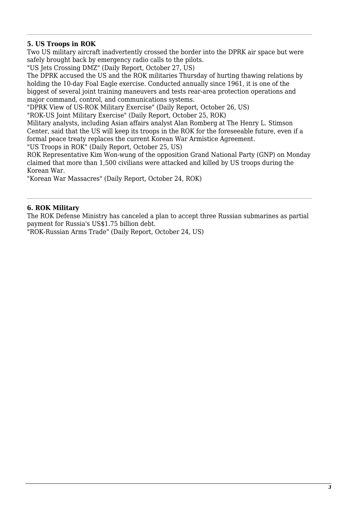# **5. US Troops in ROK**

Two US military aircraft inadvertently crossed the border into the DPRK air space but were safely brought back by emergency radio calls to the pilots.

"US Jets Crossing DMZ" (Daily Report, October 27, US)

The DPRK accused the US and the ROK militaries Thursday of hurting thawing relations by holding the 10-day Foal Eagle exercise. Conducted annually since 1961, it is one of the biggest of several joint training maneuvers and tests rear-area protection operations and major command, control, and communications systems.

"DPRK View of US-ROK Military Exercise" (Daily Report, October 26, US)

"ROK-US Joint Military Exercise" (Daily Report, October 25, ROK)

Military analysts, including Asian affairs analyst Alan Romberg at The Henry L. Stimson Center, said that the US will keep its troops in the ROK for the foreseeable future, even if a formal peace treaty replaces the current Korean War Armistice Agreement.

"US Troops in ROK" (Daily Report, October 25, US)

ROK Representative Kim Won-wung of the opposition Grand National Party (GNP) on Monday claimed that more than 1,500 civilians were attacked and killed by US troops during the Korean War.

"Korean War Massacres" (Daily Report, October 24, ROK)

#### **6. ROK Military**

The ROK Defense Ministry has canceled a plan to accept three Russian submarines as partial payment for Russia's US\$1.75 billion debt.

"ROK-Russian Arms Trade" (Daily Report, October 24, US)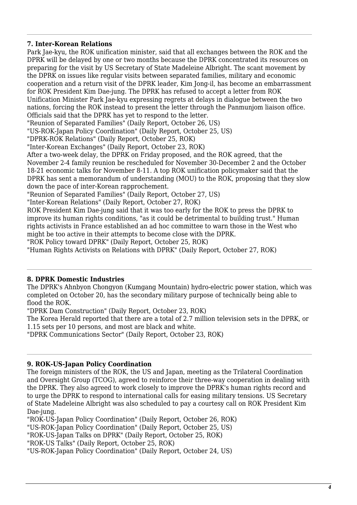# **7. Inter-Korean Relations**

Park Jae-kyu, the ROK unification minister, said that all exchanges between the ROK and the DPRK will be delayed by one or two months because the DPRK concentrated its resources on preparing for the visit by US Secretary of State Madeleine Albright. The scant movement by the DPRK on issues like regular visits between separated families, military and economic cooperation and a return visit of the DPRK leader, Kim Jong-il, has become an embarrassment for ROK President Kim Dae-jung. The DPRK has refused to accept a letter from ROK Unification Minister Park Jae-kyu expressing regrets at delays in dialogue between the two nations, forcing the ROK instead to present the letter through the Panmunjom liaison office. Officials said that the DPRK has yet to respond to the letter. "Reunion of Separated Families" (Daily Report, October 26, US) "US-ROK-Japan Policy Coordination" (Daily Report, October 25, US) "DPRK-ROK Relations" (Daily Report, October 25, ROK) "Inter-Korean Exchanges" (Daily Report, October 23, ROK) After a two-week delay, the DPRK on Friday proposed, and the ROK agreed, that the November 2-4 family reunion be rescheduled for November 30-December 2 and the October 18-21 economic talks for November 8-11. A top ROK unification policymaker said that the DPRK has sent a memorandum of understanding (MOU) to the ROK, proposing that they slow down the pace of inter-Korean rapprochement. "Reunion of Separated Families" (Daily Report, October 27, US) "Inter-Korean Relations" (Daily Report, October 27, ROK)

ROK President Kim Dae-jung said that it was too early for the ROK to press the DPRK to improve its human rights conditions, "as it could be detrimental to building trust." Human rights activists in France established an ad hoc committee to warn those in the West who might be too active in their attempts to become close with the DPRK.

"ROK Policy toward DPRK" (Daily Report, October 25, ROK)

"Human Rights Activists on Relations with DPRK" (Daily Report, October 27, ROK)

# **8. DPRK Domestic Industries**

The DPRK's Ahnbyon Chongyon (Kumgang Mountain) hydro-electric power station, which was completed on October 20, has the secondary military purpose of technically being able to flood the ROK.

"DPRK Dam Construction" (Daily Report, October 23, ROK)

The Korea Herald reported that there are a total of 2.7 million television sets in the DPRK, or 1.15 sets per 10 persons, and most are black and white.

"DPRK Communications Sector" (Daily Report, October 23, ROK)

# **9. ROK-US-Japan Policy Coordination**

The foreign ministers of the ROK, the US and Japan, meeting as the Trilateral Coordination and Oversight Group (TCOG), agreed to reinforce their three-way cooperation in dealing with the DPRK. They also agreed to work closely to improve the DPRK's human rights record and to urge the DPRK to respond to international calls for easing military tensions. US Secretary of State Madeleine Albright was also scheduled to pay a courtesy call on ROK President Kim Dae-jung.

"ROK-US-Japan Policy Coordination" (Daily Report, October 26, ROK)

"US-ROK-Japan Policy Coordination" (Daily Report, October 25, US)

"ROK-US-Japan Talks on DPRK" (Daily Report, October 25, ROK)

"ROK-US Talks" (Daily Report, October 25, ROK)

"US-ROK-Japan Policy Coordination" (Daily Report, October 24, US)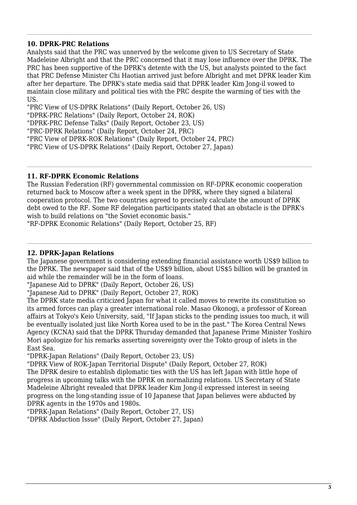# **10. DPRK-PRC Relations**

Analysts said that the PRC was unnerved by the welcome given to US Secretary of State Madeleine Albright and that the PRC concerned that it may lose influence over the DPRK. The PRC has been supportive of the DPRK's detente with the US, but analysts pointed to the fact that PRC Defense Minister Chi Haotian arrived just before Albright and met DPRK leader Kim after her departure. The DPRK's state media said that DPRK leader Kim Jong-il vowed to maintain close military and political ties with the PRC despite the warming of ties with the US.

"PRC View of US-DPRK Relations" (Daily Report, October 26, US)

"DPRK-PRC Relations" (Daily Report, October 24, ROK)

"DPRK-PRC Defense Talks" (Daily Report, October 23, US)

"PRC-DPRK Relations" (Daily Report, October 24, PRC)

"PRC View of DPRK-ROK Relations" (Daily Report, October 24, PRC)

"PRC View of US-DPRK Relations" (Daily Report, October 27, Japan)

# **11. RF-DPRK Economic Relations**

The Russian Federation (RF) governmental commission on RF-DPRK economic cooperation returned back to Moscow after a week spent in the DPRK, where they signed a bilateral cooperation protocol. The two countries agreed to precisely calculate the amount of DPRK debt owed to the RF. Some RF delegation participants stated that an obstacle is the DPRK's wish to build relations on "the Soviet economic basis."

"RF-DPRK Economic Relations" (Daily Report, October 25, RF)

# **12. DPRK-Japan Relations**

The Japanese government is considering extending financial assistance worth US\$9 billion to the DPRK. The newspaper said that of the US\$9 billion, about US\$5 billion will be granted in aid while the remainder will be in the form of loans.

"Japanese Aid to DPRK" (Daily Report, October 26, US)

"Japanese Aid to DPRK" (Daily Report, October 27, ROK)

The DPRK state media criticized Japan for what it called moves to rewrite its constitution so its armed forces can play a greater international role. Masao Okonogi, a professor of Korean affairs at Tokyo's Keio University, said, "If Japan sticks to the pending issues too much, it will be eventually isolated just like North Korea used to be in the past." The Korea Central News Agency (KCNA) said that the DPRK Thursday demanded that Japanese Prime Minister Yoshiro Mori apologize for his remarks asserting sovereignty over the Tokto group of islets in the East Sea.

"DPRK-Japan Relations" (Daily Report, October 23, US)

"DPRK View of ROK-Japan Territorial Dispute" (Daily Report, October 27, ROK) The DPRK desire to establish diplomatic ties with the US has left Japan with little hope of progress in upcoming talks with the DPRK on normalizing relations. US Secretary of State Madeleine Albright revealed that DPRK leader Kim Jong-il expressed interest in seeing progress on the long-standing issue of 10 Japanese that Japan believes were abducted by DPRK agents in the 1970s and 1980s.

"DPRK-Japan Relations" (Daily Report, October 27, US)

"DPRK Abduction Issue" (Daily Report, October 27, Japan)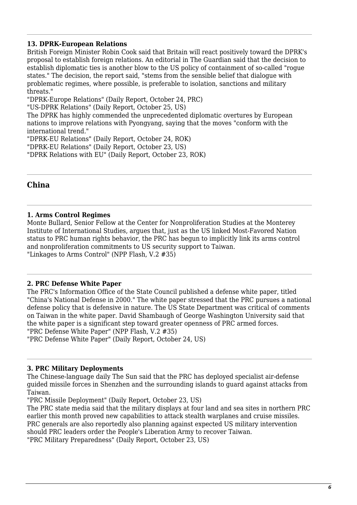# **13. DPRK-European Relations**

British Foreign Minister Robin Cook said that Britain will react positively toward the DPRK's proposal to establish foreign relations. An editorial in The Guardian said that the decision to establish diplomatic ties is another blow to the US policy of containment of so-called "rogue states." The decision, the report said, "stems from the sensible belief that dialogue with problematic regimes, where possible, is preferable to isolation, sanctions and military threats."

"DPRK-Europe Relations" (Daily Report, October 24, PRC)

"US-DPRK Relations" (Daily Report, October 25, US)

The DPRK has highly commended the unprecedented diplomatic overtures by European nations to improve relations with Pyongyang, saying that the moves "conform with the international trend."

"DPRK-EU Relations" (Daily Report, October 24, ROK)

"DPRK-EU Relations" (Daily Report, October 23, US)

"DPRK Relations with EU" (Daily Report, October 23, ROK)

# **China**

# **1. Arms Control Regimes**

Monte Bullard, Senior Fellow at the Center for Nonproliferation Studies at the Monterey Institute of International Studies, argues that, just as the US linked Most-Favored Nation status to PRC human rights behavior, the PRC has begun to implicitly link its arms control and nonproliferation commitments to US security support to Taiwan. "Linkages to Arms Control" (NPP Flash, V.2 #35)

# **2. PRC Defense White Paper**

The PRC's Information Office of the State Council published a defense white paper, titled "China's National Defense in 2000." The white paper stressed that the PRC pursues a national defense policy that is defensive in nature. The US State Department was critical of comments on Taiwan in the white paper. David Shambaugh of George Washington University said that the white paper is a significant step toward greater openness of PRC armed forces. "PRC Defense White Paper" (NPP Flash, V.2 #35) "PRC Defense White Paper" (Daily Report, October 24, US)

# **3. PRC Military Deployments**

The Chinese-language daily The Sun said that the PRC has deployed specialist air-defense guided missile forces in Shenzhen and the surrounding islands to guard against attacks from Taiwan.

"PRC Missile Deployment" (Daily Report, October 23, US)

The PRC state media said that the military displays at four land and sea sites in northern PRC earlier this month proved new capabilities to attack stealth warplanes and cruise missiles. PRC generals are also reportedly also planning against expected US military intervention should PRC leaders order the People's Liberation Army to recover Taiwan. "PRC Military Preparedness" (Daily Report, October 23, US)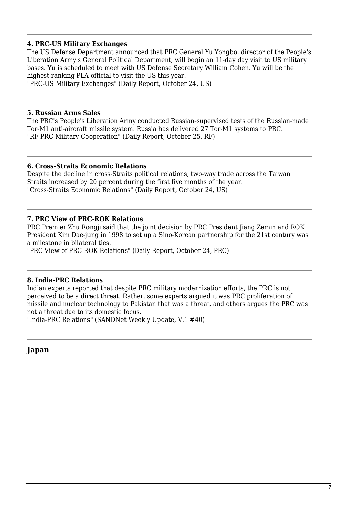#### **4. PRC-US Military Exchanges**

The US Defense Department announced that PRC General Yu Yongbo, director of the People's Liberation Army's General Political Department, will begin an 11-day day visit to US military bases. Yu is scheduled to meet with US Defense Secretary William Cohen. Yu will be the highest-ranking PLA official to visit the US this year.

"PRC-US Military Exchanges" (Daily Report, October 24, US)

#### **5. Russian Arms Sales**

The PRC's People's Liberation Army conducted Russian-supervised tests of the Russian-made Tor-M1 anti-aircraft missile system. Russia has delivered 27 Tor-M1 systems to PRC. "RF-PRC Military Cooperation" (Daily Report, October 25, RF)

#### **6. Cross-Straits Economic Relations**

Despite the decline in cross-Straits political relations, two-way trade across the Taiwan Straits increased by 20 percent during the first five months of the year. "Cross-Straits Economic Relations" (Daily Report, October 24, US)

#### **7. PRC View of PRC-ROK Relations**

PRC Premier Zhu Rongji said that the joint decision by PRC President Jiang Zemin and ROK President Kim Dae-jung in 1998 to set up a Sino-Korean partnership for the 21st century was a milestone in bilateral ties.

"PRC View of PRC-ROK Relations" (Daily Report, October 24, PRC)

#### **8. India-PRC Relations**

Indian experts reported that despite PRC military modernization efforts, the PRC is not perceived to be a direct threat. Rather, some experts argued it was PRC proliferation of missile and nuclear technology to Pakistan that was a threat, and others argues the PRC was not a threat due to its domestic focus.

"India-PRC Relations" (SANDNet Weekly Update, V.1 #40)

**Japan**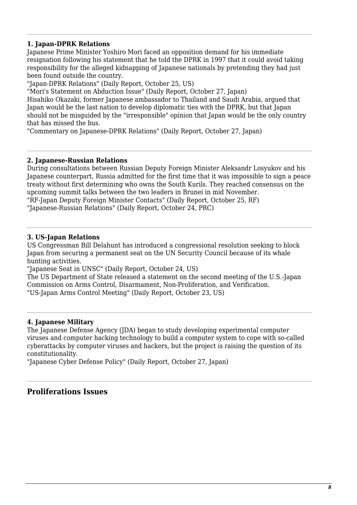# **1. Japan-DPRK Relations**

Japanese Prime Minister Yoshiro Mori faced an opposition demand for his immediate resignation following his statement that he told the DPRK in 1997 that it could avoid taking responsibility for the alleged kidnapping of Japanese nationals by pretending they had just been found outside the country.

"Japan-DPRK Relations" (Daily Report, October 25, US)

"Mori's Statement on Abduction Issue" (Daily Report, October 27, Japan)

Hisahiko Okazaki, former Japanese ambassador to Thailand and Saudi Arabia, argued that Japan would be the last nation to develop diplomatic ties with the DPRK, but that Japan should not be misguided by the "irresponsible" opinion that Japan would be the only country that has missed the bus.

"Commentary on Japanese-DPRK Relations" (Daily Report, October 27, Japan)

#### **2. Japanese-Russian Relations**

During consultations between Russian Deputy Foreign Minister Aleksandr Losyukov and his Japanese counterpart, Russia admitted for the first time that it was impossible to sign a peace treaty without first determining who owns the South Kurils. They reached consensus on the upcoming summit talks between the two leaders in Brunei in mid November. "RF-Japan Deputy Foreign Minister Contacts" (Daily Report, October 25, RF) "Japanese-Russian Relations" (Daily Report, October 24, PRC)

# **3. US-Japan Relations**

US Congressman Bill Delahunt has introduced a congressional resolution seeking to block Japan from securing a permanent seat on the UN Security Council because of its whale hunting activities.

"Japanese Seat in UNSC" (Daily Report, October 24, US)

The US Department of State released a statement on the second meeting of the U.S.-Japan Commission on Arms Control, Disarmament, Non-Proliferation, and Verification. "US-Japan Arms Control Meeting" (Daily Report, October 23, US)

# **4. Japanese Military**

The Japanese Defense Agency (JDA) began to study developing experimental computer viruses and computer hacking technology to build a computer system to cope with so-called cyberattacks by computer viruses and hackers, but the project is raising the question of its constitutionality.

"Japanese Cyber Defense Policy" (Daily Report, October 27, Japan)

# **Proliferations Issues**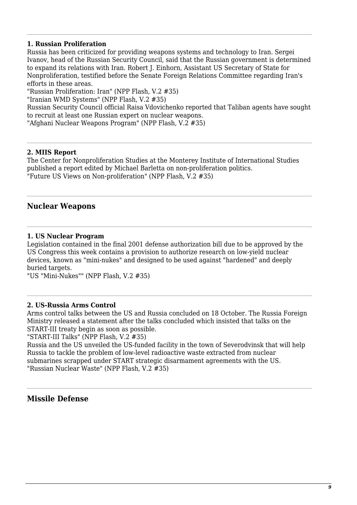# **1. Russian Proliferation**

Russia has been criticized for providing weapons systems and technology to Iran. Sergei Ivanov, head of the Russian Security Council, said that the Russian government is determined to expand its relations with Iran. Robert J. Einhorn, Assistant US Secretary of State for Nonproliferation, testified before the Senate Foreign Relations Committee regarding Iran's efforts in these areas.

"Russian Proliferation: Iran" (NPP Flash, V.2 #35)

"Iranian WMD Systems" (NPP Flash, V.2 #35)

Russian Security Council official Raisa Vdovichenko reported that Taliban agents have sought to recruit at least one Russian expert on nuclear weapons.

"Afghani Nuclear Weapons Program" (NPP Flash, V.2 #35)

#### **2. MIIS Report**

The Center for Nonproliferation Studies at the Monterey Institute of International Studies published a report edited by Michael Barletta on non-proliferation politics. "Future US Views on Non-proliferation" (NPP Flash, V.2 #35)

# **Nuclear Weapons**

#### **1. US Nuclear Program**

Legislation contained in the final 2001 defense authorization bill due to be approved by the US Congress this week contains a provision to authorize research on low-yield nuclear devices, known as "mini-nukes" and designed to be used against "hardened" and deeply buried targets.

"US "Mini-Nukes"" (NPP Flash, V.2 #35)

#### **2. US-Russia Arms Control**

Arms control talks between the US and Russia concluded on 18 October. The Russia Foreign Ministry released a statement after the talks concluded which insisted that talks on the START-III treaty begin as soon as possible.

"START-III Talks" (NPP Flash, V.2 #35)

Russia and the US unveiled the US-funded facility in the town of Severodvinsk that will help Russia to tackle the problem of low-level radioactive waste extracted from nuclear submarines scrapped under START strategic disarmament agreements with the US. "Russian Nuclear Waste" (NPP Flash, V.2 #35)

# **Missile Defense**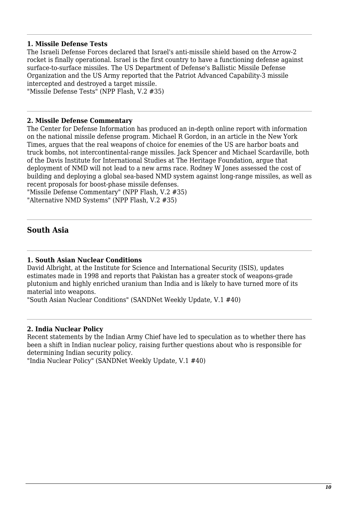#### **1. Missile Defense Tests**

The Israeli Defense Forces declared that Israel's anti-missile shield based on the Arrow-2 rocket is finally operational. Israel is the first country to have a functioning defense against surface-to-surface missiles. The US Department of Defense's Ballistic Missile Defense Organization and the US Army reported that the Patriot Advanced Capability-3 missile intercepted and destroyed a target missile. "Missile Defense Tests" (NPP Flash, V.2 #35)

#### **2. Missile Defense Commentary**

The Center for Defense Information has produced an in-depth online report with information on the national missile defense program. Michael R Gordon, in an article in the New York Times, argues that the real weapons of choice for enemies of the US are harbor boats and truck bombs, not intercontinental-range missiles. Jack Spencer and Michael Scardaville, both of the Davis Institute for International Studies at The Heritage Foundation, argue that deployment of NMD will not lead to a new arms race. Rodney W Jones assessed the cost of building and deploying a global sea-based NMD system against long-range missiles, as well as recent proposals for boost-phase missile defenses.

"Missile Defense Commentary" (NPP Flash, V.2 #35) "Alternative NMD Systems" (NPP Flash, V.2 #35)

# **South Asia**

#### **1. South Asian Nuclear Conditions**

David Albright, at the Institute for Science and International Security (ISIS), updates estimates made in 1998 and reports that Pakistan has a greater stock of weapons-grade plutonium and highly enriched uranium than India and is likely to have turned more of its material into weapons.

"South Asian Nuclear Conditions" (SANDNet Weekly Update, V.1 #40)

#### **2. India Nuclear Policy**

Recent statements by the Indian Army Chief have led to speculation as to whether there has been a shift in Indian nuclear policy, raising further questions about who is responsible for determining Indian security policy.

"India Nuclear Policy" (SANDNet Weekly Update, V.1 #40)